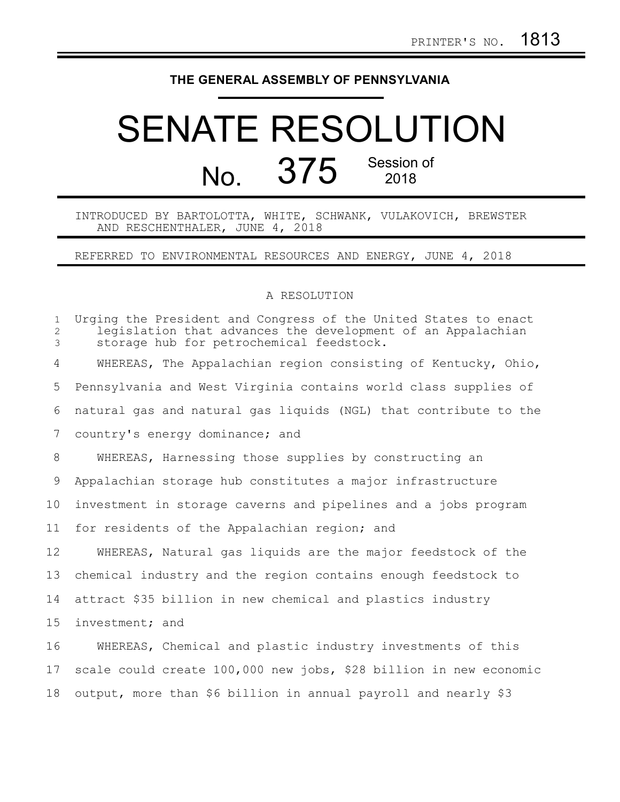## **THE GENERAL ASSEMBLY OF PENNSYLVANIA**

## SENATE RESOLUTION No. 375 Session of

INTRODUCED BY BARTOLOTTA, WHITE, SCHWANK, VULAKOVICH, BREWSTER AND RESCHENTHALER, JUNE 4, 2018

REFERRED TO ENVIRONMENTAL RESOURCES AND ENERGY, JUNE 4, 2018

## A RESOLUTION

| $\mathbf{1}$<br>$\overline{c}$<br>3 | Urging the President and Congress of the United States to enact<br>legislation that advances the development of an Appalachian<br>storage hub for petrochemical feedstock. |
|-------------------------------------|----------------------------------------------------------------------------------------------------------------------------------------------------------------------------|
| 4                                   | WHEREAS, The Appalachian region consisting of Kentucky, Ohio,                                                                                                              |
| 5                                   | Pennsylvania and West Virginia contains world class supplies of                                                                                                            |
| 6                                   | natural gas and natural gas liquids (NGL) that contribute to the                                                                                                           |
| 7                                   | country's energy dominance; and                                                                                                                                            |
| 8                                   | WHEREAS, Harnessing those supplies by constructing an                                                                                                                      |
| 9                                   | Appalachian storage hub constitutes a major infrastructure                                                                                                                 |
| 10                                  | investment in storage caverns and pipelines and a jobs program                                                                                                             |
| 11                                  | for residents of the Appalachian region; and                                                                                                                               |
| 12                                  | WHEREAS, Natural gas liquids are the major feedstock of the                                                                                                                |
| 13                                  | chemical industry and the region contains enough feedstock to                                                                                                              |
| 14                                  | attract \$35 billion in new chemical and plastics industry                                                                                                                 |
| 15                                  | investment; and                                                                                                                                                            |
| 16                                  | WHEREAS, Chemical and plastic industry investments of this                                                                                                                 |
| 17                                  | scale could create 100,000 new jobs, \$28 billion in new economic                                                                                                          |
| 18                                  | output, more than \$6 billion in annual payroll and nearly \$3                                                                                                             |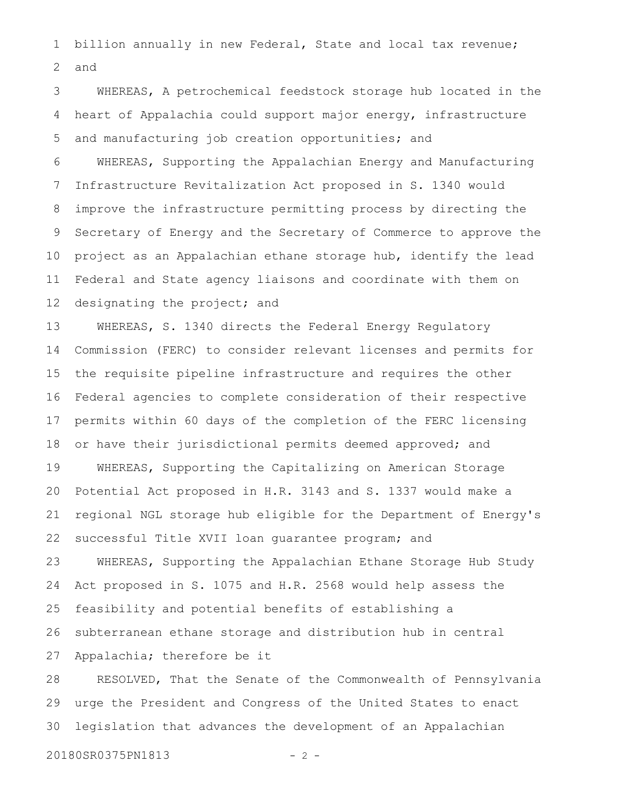billion annually in new Federal, State and local tax revenue; and 1 2

WHEREAS, A petrochemical feedstock storage hub located in the heart of Appalachia could support major energy, infrastructure and manufacturing job creation opportunities; and 3 4 5

WHEREAS, Supporting the Appalachian Energy and Manufacturing Infrastructure Revitalization Act proposed in S. 1340 would improve the infrastructure permitting process by directing the Secretary of Energy and the Secretary of Commerce to approve the project as an Appalachian ethane storage hub, identify the lead Federal and State agency liaisons and coordinate with them on designating the project; and 6 7 8 9 10 11 12

WHEREAS, S. 1340 directs the Federal Energy Regulatory Commission (FERC) to consider relevant licenses and permits for the requisite pipeline infrastructure and requires the other Federal agencies to complete consideration of their respective permits within 60 days of the completion of the FERC licensing or have their jurisdictional permits deemed approved; and WHEREAS, Supporting the Capitalizing on American Storage Potential Act proposed in H.R. 3143 and S. 1337 would make a regional NGL storage hub eligible for the Department of Energy's successful Title XVII loan guarantee program; and 13 14 15 16 17 18 19 20 21 22

WHEREAS, Supporting the Appalachian Ethane Storage Hub Study Act proposed in S. 1075 and H.R. 2568 would help assess the feasibility and potential benefits of establishing a subterranean ethane storage and distribution hub in central Appalachia; therefore be it 23 24 25 26 27

RESOLVED, That the Senate of the Commonwealth of Pennsylvania urge the President and Congress of the United States to enact legislation that advances the development of an Appalachian 28 29 30

20180SR0375PN1813 - 2 -